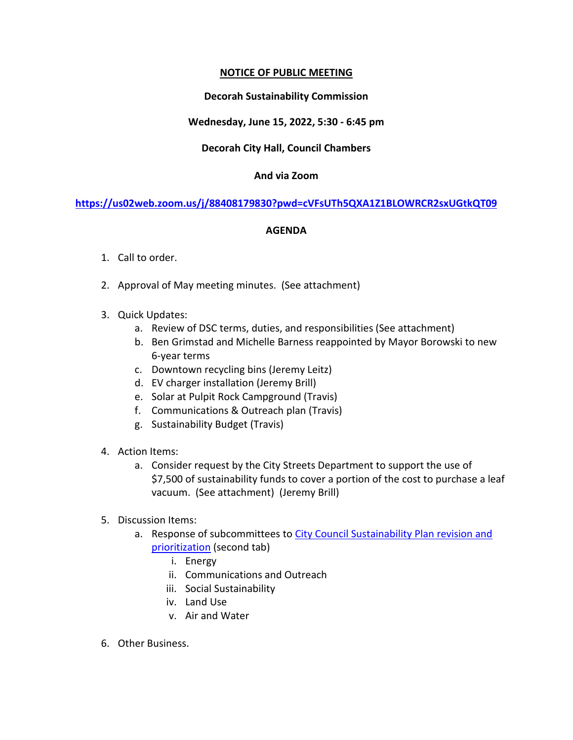## **NOTICE OF PUBLIC MEETING**

## **Decorah Sustainability Commission**

## **Wednesday, June 15, 2022, 5:30 - 6:45 pm**

## **Decorah City Hall, Council Chambers**

### **And via Zoom**

**<https://us02web.zoom.us/j/88408179830?pwd=cVFsUTh5QXA1Z1BLOWRCR2sxUGtkQT09>**

### **AGENDA**

- 1. Call to order.
- 2. Approval of May meeting minutes. (See attachment)
- 3. Quick Updates:
	- a. Review of DSC terms, duties, and responsibilities (See attachment)
	- b. Ben Grimstad and Michelle Barness reappointed by Mayor Borowski to new 6-year terms
	- c. Downtown recycling bins (Jeremy Leitz)
	- d. EV charger installation (Jeremy Brill)
	- e. Solar at Pulpit Rock Campground (Travis)
	- f. Communications & Outreach plan (Travis)
	- g. Sustainability Budget (Travis)
- 4. Action Items:
	- a. Consider request by the City Streets Department to support the use of \$7,500 of sustainability funds to cover a portion of the cost to purchase a leaf vacuum. (See attachment) (Jeremy Brill)
- 5. Discussion Items:
	- a. Response of subcommittees to City Council Sustainability Plan revision and [prioritization](https://docs.google.com/spreadsheets/d/1k19-UzAaImqy6i-5Ajk8WqgoGUpBVXOO_smCl9esexI/edit?usp=sharing) (second tab)
		- i. Energy
		- ii. Communications and Outreach
		- iii. Social Sustainability
		- iv. Land Use
		- v. Air and Water
- 6. Other Business.